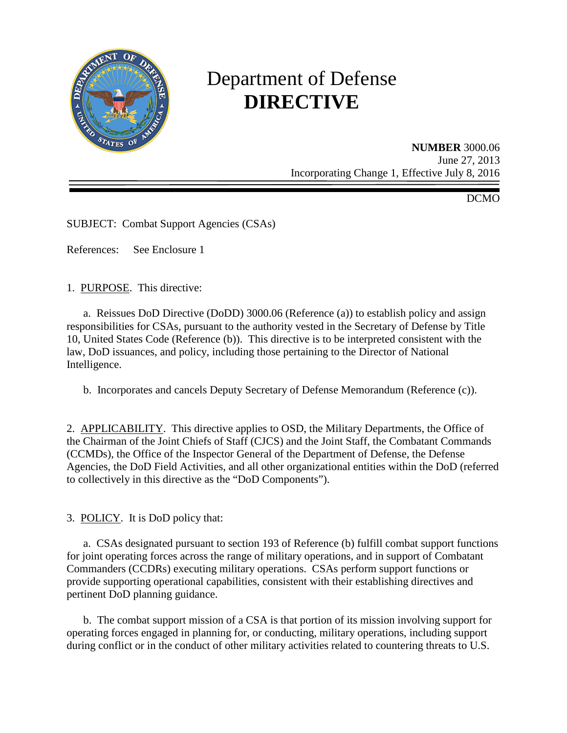

# Department of Defense **DIRECTIVE**

**NUMBER** 3000.06 June 27, 2013 Incorporating Change 1, Effective July 8, 2016

DCMO

SUBJECT: Combat Support Agencies (CSAs)

References: See Enclosure 1

1. PURPOSE. This directive:

a. Reissues DoD Directive (DoDD) 3000.06 (Reference (a)) to establish policy and assign responsibilities for CSAs, pursuant to the authority vested in the Secretary of Defense by Title 10, United States Code (Reference (b)). This directive is to be interpreted consistent with the law, DoD issuances, and policy, including those pertaining to the Director of National Intelligence.

b. Incorporates and cancels Deputy Secretary of Defense Memorandum (Reference (c)).

2. APPLICABILITY. This directive applies to OSD, the Military Departments, the Office of the Chairman of the Joint Chiefs of Staff (CJCS) and the Joint Staff, the Combatant Commands (CCMDs), the Office of the Inspector General of the Department of Defense, the Defense Agencies, the DoD Field Activities, and all other organizational entities within the DoD (referred to collectively in this directive as the "DoD Components").

3. POLICY. It is DoD policy that:

a. CSAs designated pursuant to section 193 of Reference (b) fulfill combat support functions for joint operating forces across the range of military operations, and in support of Combatant Commanders (CCDRs) executing military operations. CSAs perform support functions or provide supporting operational capabilities, consistent with their establishing directives and pertinent DoD planning guidance.

 b. The combat support mission of a CSA is that portion of its mission involving support for operating forces engaged in planning for, or conducting, military operations, including support during conflict or in the conduct of other military activities related to countering threats to U.S.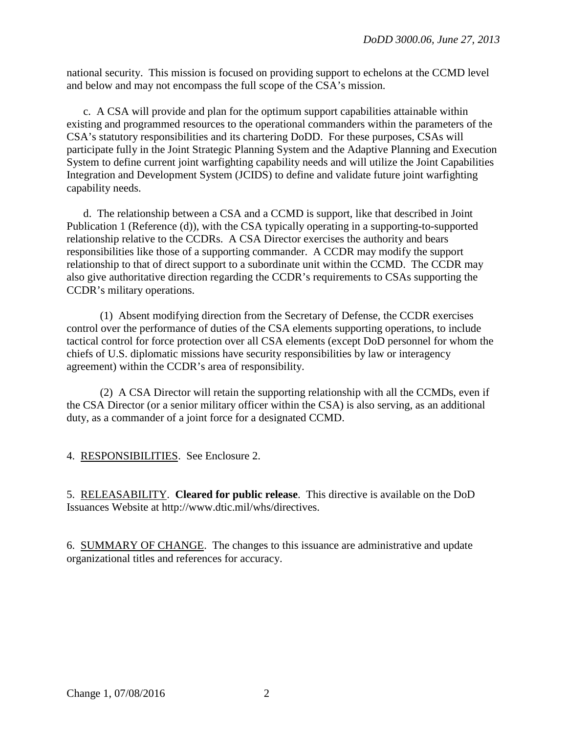national security. This mission is focused on providing support to echelons at the CCMD level and below and may not encompass the full scope of the CSA's mission.

c. A CSA will provide and plan for the optimum support capabilities attainable within existing and programmed resources to the operational commanders within the parameters of the CSA's statutory responsibilities and its chartering DoDD. For these purposes, CSAs will participate fully in the Joint Strategic Planning System and the Adaptive Planning and Execution System to define current joint warfighting capability needs and will utilize the Joint Capabilities Integration and Development System (JCIDS) to define and validate future joint warfighting capability needs.

 d. The relationship between a CSA and a CCMD is support, like that described in Joint Publication 1 (Reference (d)), with the CSA typically operating in a supporting-to-supported relationship relative to the CCDRs. A CSA Director exercises the authority and bears responsibilities like those of a supporting commander. A CCDR may modify the support relationship to that of direct support to a subordinate unit within the CCMD. The CCDR may also give authoritative direction regarding the CCDR's requirements to CSAs supporting the CCDR's military operations.

 (1) Absent modifying direction from the Secretary of Defense, the CCDR exercises control over the performance of duties of the CSA elements supporting operations, to include tactical control for force protection over all CSA elements (except DoD personnel for whom the chiefs of U.S. diplomatic missions have security responsibilities by law or interagency agreement) within the CCDR's area of responsibility.

 (2) A CSA Director will retain the supporting relationship with all the CCMDs, even if the CSA Director (or a senior military officer within the CSA) is also serving, as an additional duty, as a commander of a joint force for a designated CCMD.

4. RESPONSIBILITIES. See Enclosure 2.

5. RELEASABILITY. **Cleared for public release**. This directive is available on the DoD Issuances Website at http://www.dtic.mil/whs/directives.

6. SUMMARY OF CHANGE. The changes to this issuance are administrative and update organizational titles and references for accuracy.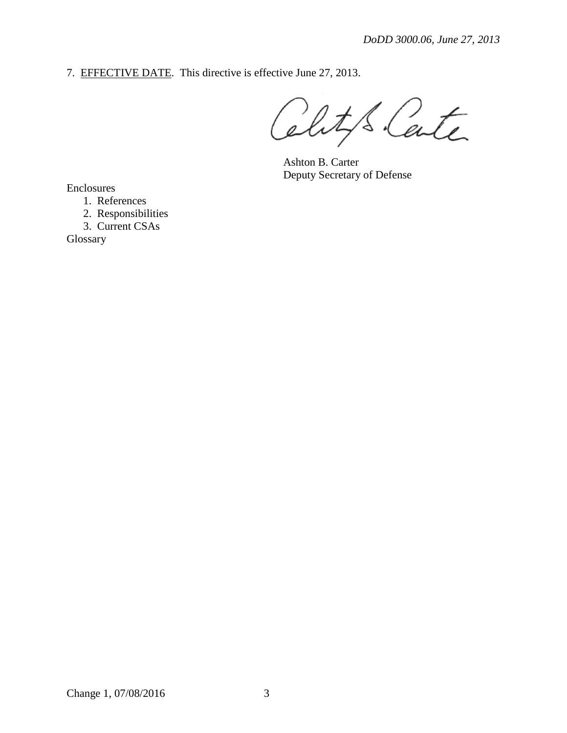7. EFFECTIVE DATE. This directive is effective June 27, 2013.

Clity's Carte

 Ashton B. Carter Deputy Secretary of Defense

Enclosures

1. References

2. Responsibilities

3. Current CSAs

Glossary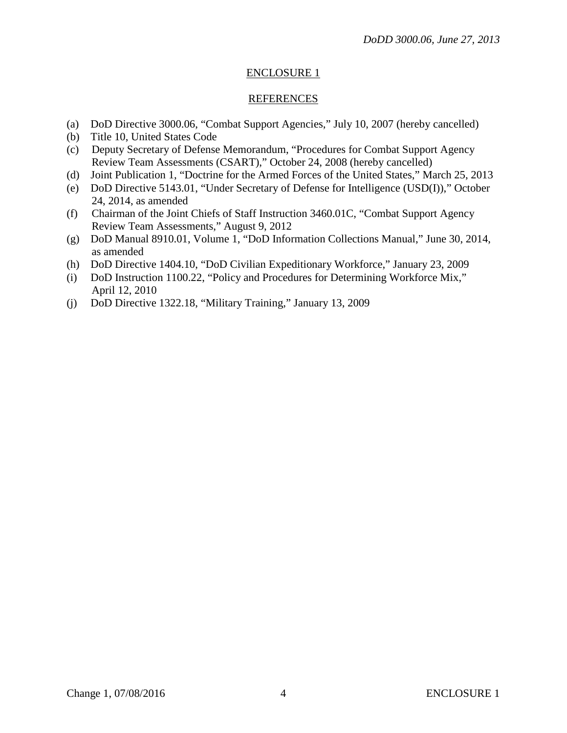#### ENCLOSURE 1

#### REFERENCES

- (a) DoD Directive 3000.06, "Combat Support Agencies," July 10, 2007 (hereby cancelled)
- (b) Title 10, United States Code
- (c) Deputy Secretary of Defense Memorandum, "Procedures for Combat Support Agency Review Team Assessments (CSART)," October 24, 2008 (hereby cancelled)
- (d) Joint Publication 1, "Doctrine for the Armed Forces of the United States," March 25, 2013
- (e) DoD Directive 5143.01, "Under Secretary of Defense for Intelligence (USD(I))," October 24, 2014, as amended
- (f) Chairman of the Joint Chiefs of Staff Instruction 3460.01C, "Combat Support Agency Review Team Assessments," August 9, 2012
- (g) DoD Manual 8910.01, Volume 1, "DoD Information Collections Manual," June 30, 2014, as amended
- (h) DoD Directive 1404.10, "DoD Civilian Expeditionary Workforce," January 23, 2009
- (i) DoD Instruction 1100.22, "Policy and Procedures for Determining Workforce Mix," April 12, 2010
- (j) DoD Directive 1322.18, "Military Training," January 13, 2009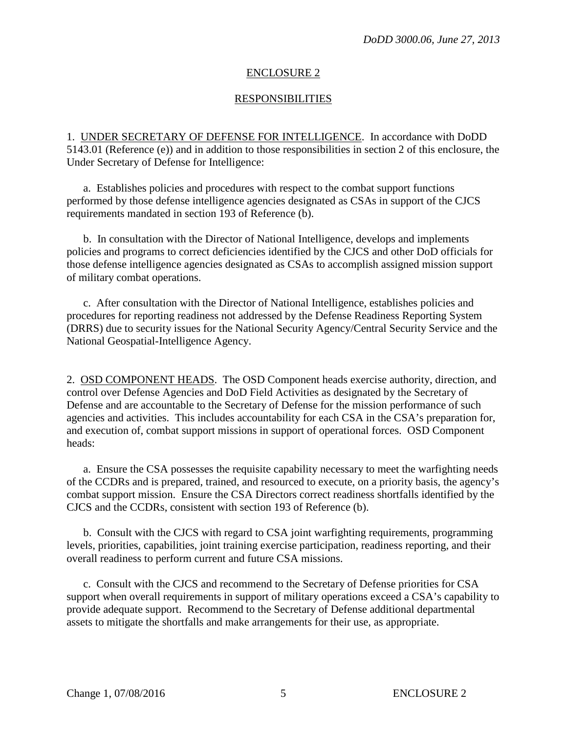### ENCLOSURE 2

## **RESPONSIBILITIES**

1. UNDER SECRETARY OF DEFENSE FOR INTELLIGENCE. In accordance with DoDD 5143.01 (Reference (e)) and in addition to those responsibilities in section 2 of this enclosure, the Under Secretary of Defense for Intelligence:

a. Establishes policies and procedures with respect to the combat support functions performed by those defense intelligence agencies designated as CSAs in support of the CJCS requirements mandated in section 193 of Reference (b).

 b. In consultation with the Director of National Intelligence, develops and implements policies and programs to correct deficiencies identified by the CJCS and other DoD officials for those defense intelligence agencies designated as CSAs to accomplish assigned mission support of military combat operations.

c. After consultation with the Director of National Intelligence, establishes policies and procedures for reporting readiness not addressed by the Defense Readiness Reporting System (DRRS) due to security issues for the National Security Agency/Central Security Service and the National Geospatial-Intelligence Agency.

2. OSD COMPONENT HEADS. The OSD Component heads exercise authority, direction, and control over Defense Agencies and DoD Field Activities as designated by the Secretary of Defense and are accountable to the Secretary of Defense for the mission performance of such agencies and activities. This includes accountability for each CSA in the CSA's preparation for, and execution of, combat support missions in support of operational forces. OSD Component heads:

a. Ensure the CSA possesses the requisite capability necessary to meet the warfighting needs of the CCDRs and is prepared, trained, and resourced to execute, on a priority basis, the agency's combat support mission. Ensure the CSA Directors correct readiness shortfalls identified by the CJCS and the CCDRs, consistent with section 193 of Reference (b).

 b. Consult with the CJCS with regard to CSA joint warfighting requirements, programming levels, priorities, capabilities, joint training exercise participation, readiness reporting, and their overall readiness to perform current and future CSA missions.

c. Consult with the CJCS and recommend to the Secretary of Defense priorities for CSA support when overall requirements in support of military operations exceed a CSA's capability to provide adequate support. Recommend to the Secretary of Defense additional departmental assets to mitigate the shortfalls and make arrangements for their use, as appropriate.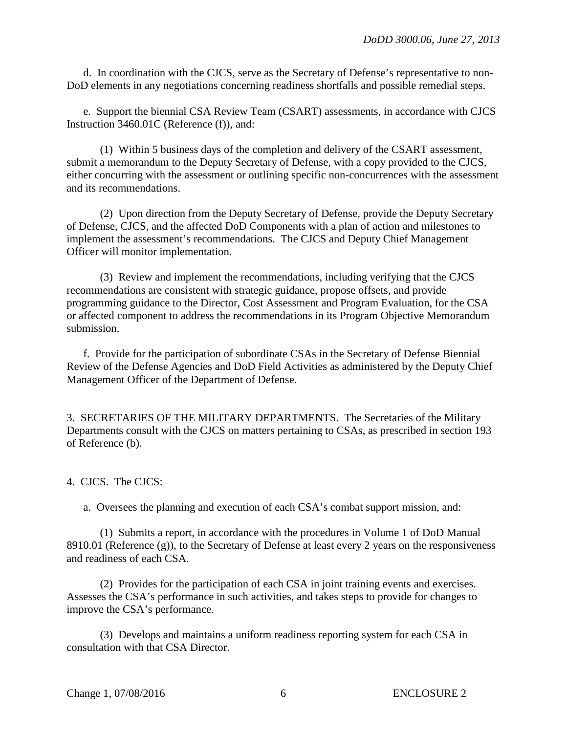d. In coordination with the CJCS, serve as the Secretary of Defense's representative to non-DoD elements in any negotiations concerning readiness shortfalls and possible remedial steps.

e. Support the biennial CSA Review Team (CSART) assessments, in accordance with CJCS Instruction 3460.01C (Reference (f)), and:

 (1) Within 5 business days of the completion and delivery of the CSART assessment, submit a memorandum to the Deputy Secretary of Defense, with a copy provided to the CJCS, either concurring with the assessment or outlining specific non-concurrences with the assessment and its recommendations.

 (2) Upon direction from the Deputy Secretary of Defense, provide the Deputy Secretary of Defense, CJCS, and the affected DoD Components with a plan of action and milestones to implement the assessment's recommendations. The CJCS and Deputy Chief Management Officer will monitor implementation.

 (3) Review and implement the recommendations, including verifying that the CJCS recommendations are consistent with strategic guidance, propose offsets, and provide programming guidance to the Director, Cost Assessment and Program Evaluation, for the CSA or affected component to address the recommendations in its Program Objective Memorandum submission.

 f. Provide for the participation of subordinate CSAs in the Secretary of Defense Biennial Review of the Defense Agencies and DoD Field Activities as administered by the Deputy Chief Management Officer of the Department of Defense.

3. SECRETARIES OF THE MILITARY DEPARTMENTS. The Secretaries of the Military Departments consult with the CJCS on matters pertaining to CSAs, as prescribed in section 193 of Reference (b).

4. CJCS. The CJCS:

a. Oversees the planning and execution of each CSA's combat support mission, and:

 (1) Submits a report, in accordance with the procedures in Volume 1 of DoD Manual 8910.01 (Reference (g)), to the Secretary of Defense at least every 2 years on the responsiveness and readiness of each CSA.

 (2) Provides for the participation of each CSA in joint training events and exercises. Assesses the CSA's performance in such activities, and takes steps to provide for changes to improve the CSA's performance.

 (3) Develops and maintains a uniform readiness reporting system for each CSA in consultation with that CSA Director.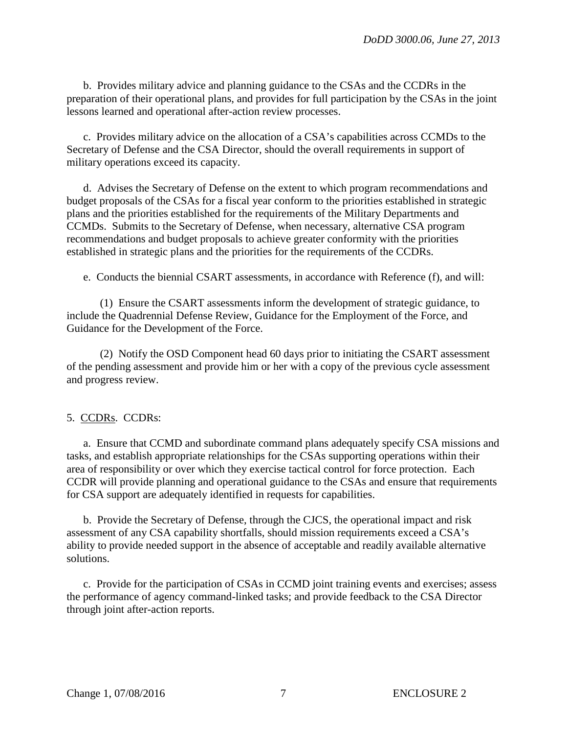b. Provides military advice and planning guidance to the CSAs and the CCDRs in the preparation of their operational plans, and provides for full participation by the CSAs in the joint lessons learned and operational after-action review processes.

c. Provides military advice on the allocation of a CSA's capabilities across CCMDs to the Secretary of Defense and the CSA Director, should the overall requirements in support of military operations exceed its capacity.

 d. Advises the Secretary of Defense on the extent to which program recommendations and budget proposals of the CSAs for a fiscal year conform to the priorities established in strategic plans and the priorities established for the requirements of the Military Departments and CCMDs. Submits to the Secretary of Defense, when necessary, alternative CSA program recommendations and budget proposals to achieve greater conformity with the priorities established in strategic plans and the priorities for the requirements of the CCDRs.

e. Conducts the biennial CSART assessments, in accordance with Reference (f), and will:

 (1) Ensure the CSART assessments inform the development of strategic guidance, to include the Quadrennial Defense Review, Guidance for the Employment of the Force, and Guidance for the Development of the Force.

 (2) Notify the OSD Component head 60 days prior to initiating the CSART assessment of the pending assessment and provide him or her with a copy of the previous cycle assessment and progress review.

#### 5. CCDRs. CCDRs:

a. Ensure that CCMD and subordinate command plans adequately specify CSA missions and tasks, and establish appropriate relationships for the CSAs supporting operations within their area of responsibility or over which they exercise tactical control for force protection. Each CCDR will provide planning and operational guidance to the CSAs and ensure that requirements for CSA support are adequately identified in requests for capabilities.

 b. Provide the Secretary of Defense, through the CJCS, the operational impact and risk assessment of any CSA capability shortfalls, should mission requirements exceed a CSA's ability to provide needed support in the absence of acceptable and readily available alternative solutions.

c. Provide for the participation of CSAs in CCMD joint training events and exercises; assess the performance of agency command-linked tasks; and provide feedback to the CSA Director through joint after-action reports.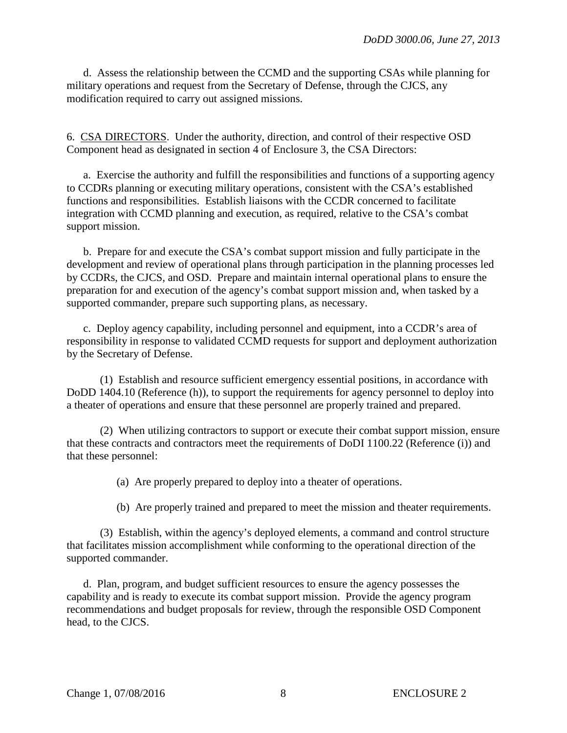d. Assess the relationship between the CCMD and the supporting CSAs while planning for military operations and request from the Secretary of Defense, through the CJCS, any modification required to carry out assigned missions.

6. CSA DIRECTORS. Under the authority, direction, and control of their respective OSD Component head as designated in section 4 of Enclosure 3, the CSA Directors:

a. Exercise the authority and fulfill the responsibilities and functions of a supporting agency to CCDRs planning or executing military operations, consistent with the CSA's established functions and responsibilities. Establish liaisons with the CCDR concerned to facilitate integration with CCMD planning and execution, as required, relative to the CSA's combat support mission.

 b. Prepare for and execute the CSA's combat support mission and fully participate in the development and review of operational plans through participation in the planning processes led by CCDRs, the CJCS, and OSD. Prepare and maintain internal operational plans to ensure the preparation for and execution of the agency's combat support mission and, when tasked by a supported commander, prepare such supporting plans, as necessary.

c. Deploy agency capability, including personnel and equipment, into a CCDR's area of responsibility in response to validated CCMD requests for support and deployment authorization by the Secretary of Defense.

 (1) Establish and resource sufficient emergency essential positions, in accordance with DoDD 1404.10 (Reference (h)), to support the requirements for agency personnel to deploy into a theater of operations and ensure that these personnel are properly trained and prepared.

 (2) When utilizing contractors to support or execute their combat support mission, ensure that these contracts and contractors meet the requirements of DoDI 1100.22 (Reference (i)) and that these personnel:

(a) Are properly prepared to deploy into a theater of operations.

(b) Are properly trained and prepared to meet the mission and theater requirements.

 (3) Establish, within the agency's deployed elements, a command and control structure that facilitates mission accomplishment while conforming to the operational direction of the supported commander.

 d. Plan, program, and budget sufficient resources to ensure the agency possesses the capability and is ready to execute its combat support mission. Provide the agency program recommendations and budget proposals for review, through the responsible OSD Component head, to the CJCS.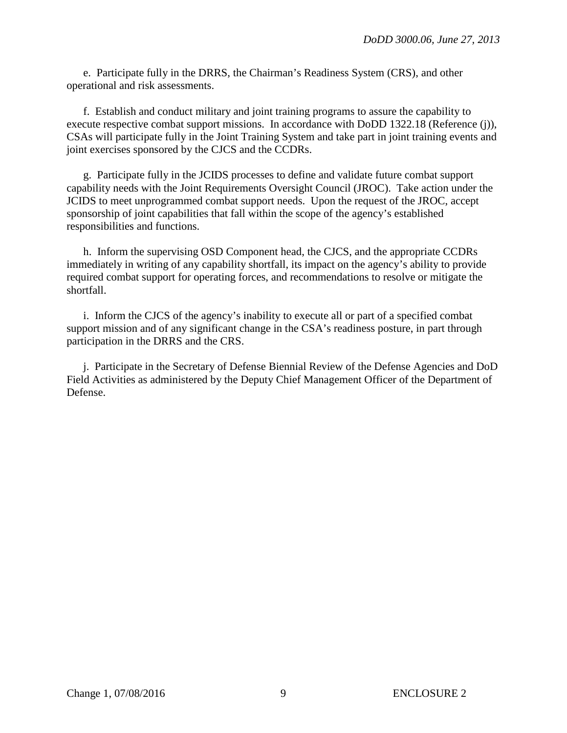e. Participate fully in the DRRS, the Chairman's Readiness System (CRS), and other operational and risk assessments.

f. Establish and conduct military and joint training programs to assure the capability to execute respective combat support missions. In accordance with DoDD 1322.18 (Reference (j)), CSAs will participate fully in the Joint Training System and take part in joint training events and joint exercises sponsored by the CJCS and the CCDRs.

g. Participate fully in the JCIDS processes to define and validate future combat support capability needs with the Joint Requirements Oversight Council (JROC). Take action under the JCIDS to meet unprogrammed combat support needs. Upon the request of the JROC, accept sponsorship of joint capabilities that fall within the scope of the agency's established responsibilities and functions.

 h. Inform the supervising OSD Component head, the CJCS, and the appropriate CCDRs immediately in writing of any capability shortfall, its impact on the agency's ability to provide required combat support for operating forces, and recommendations to resolve or mitigate the shortfall.

 i. Inform the CJCS of the agency's inability to execute all or part of a specified combat support mission and of any significant change in the CSA's readiness posture, in part through participation in the DRRS and the CRS.

j. Participate in the Secretary of Defense Biennial Review of the Defense Agencies and DoD Field Activities as administered by the Deputy Chief Management Officer of the Department of Defense.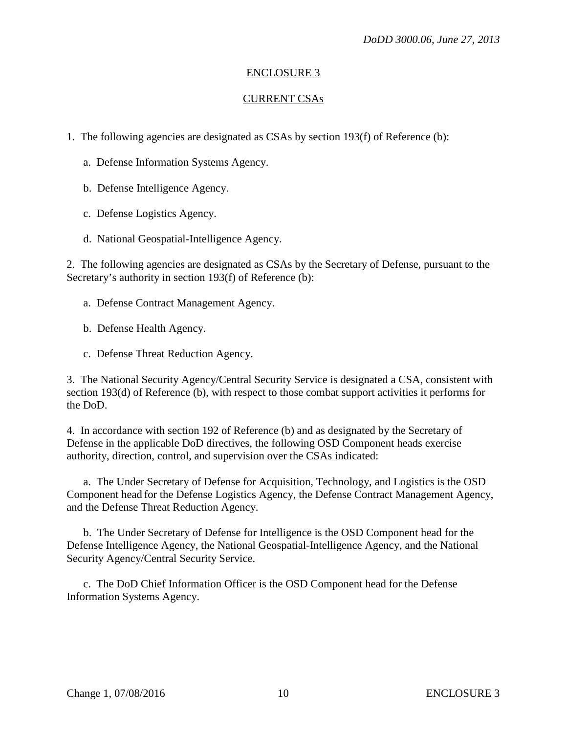## ENCLOSURE 3

## CURRENT CSAs

1. The following agencies are designated as CSAs by section 193(f) of Reference (b):

- a. Defense Information Systems Agency.
- b. Defense Intelligence Agency.
- c. Defense Logistics Agency.
- d. National Geospatial-Intelligence Agency.

2. The following agencies are designated as CSAs by the Secretary of Defense, pursuant to the Secretary's authority in section 193(f) of Reference (b):

- a. Defense Contract Management Agency.
- b. Defense Health Agency.
- c. Defense Threat Reduction Agency.

3. The National Security Agency/Central Security Service is designated a CSA, consistent with section 193(d) of Reference (b), with respect to those combat support activities it performs for the DoD.

4. In accordance with section 192 of Reference (b) and as designated by the Secretary of Defense in the applicable DoD directives, the following OSD Component heads exercise authority, direction, control, and supervision over the CSAs indicated:

a. The Under Secretary of Defense for Acquisition, Technology, and Logistics is the OSD Component head for the Defense Logistics Agency, the Defense Contract Management Agency, and the Defense Threat Reduction Agency.

b. The Under Secretary of Defense for Intelligence is the OSD Component head for the Defense Intelligence Agency, the National Geospatial-Intelligence Agency, and the National Security Agency/Central Security Service.

c. The DoD Chief Information Officer is the OSD Component head for the Defense Information Systems Agency.